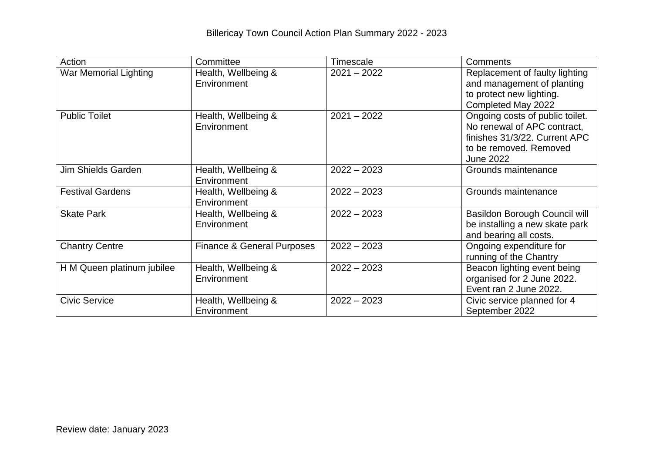| Action                       | Committee                             | Timescale     | Comments                                                                                                                                      |
|------------------------------|---------------------------------------|---------------|-----------------------------------------------------------------------------------------------------------------------------------------------|
| <b>War Memorial Lighting</b> | Health, Wellbeing &<br>Environment    | $2021 - 2022$ | Replacement of faulty lighting<br>and management of planting<br>to protect new lighting.<br>Completed May 2022                                |
| <b>Public Toilet</b>         | Health, Wellbeing &<br>Environment    | $2021 - 2022$ | Ongoing costs of public toilet.<br>No renewal of APC contract,<br>finishes 31/3/22. Current APC<br>to be removed. Removed<br><b>June 2022</b> |
| <b>Jim Shields Garden</b>    | Health, Wellbeing &<br>Environment    | $2022 - 2023$ | Grounds maintenance                                                                                                                           |
| <b>Festival Gardens</b>      | Health, Wellbeing &<br>Environment    | $2022 - 2023$ | Grounds maintenance                                                                                                                           |
| <b>Skate Park</b>            | Health, Wellbeing &<br>Environment    | $2022 - 2023$ | <b>Basildon Borough Council will</b><br>be installing a new skate park<br>and bearing all costs.                                              |
| <b>Chantry Centre</b>        | <b>Finance &amp; General Purposes</b> | $2022 - 2023$ | Ongoing expenditure for<br>running of the Chantry                                                                                             |
| H M Queen platinum jubilee   | Health, Wellbeing &<br>Environment    | $2022 - 2023$ | Beacon lighting event being<br>organised for 2 June 2022.<br>Event ran 2 June 2022.                                                           |
| <b>Civic Service</b>         | Health, Wellbeing &<br>Environment    | $2022 - 2023$ | Civic service planned for 4<br>September 2022                                                                                                 |